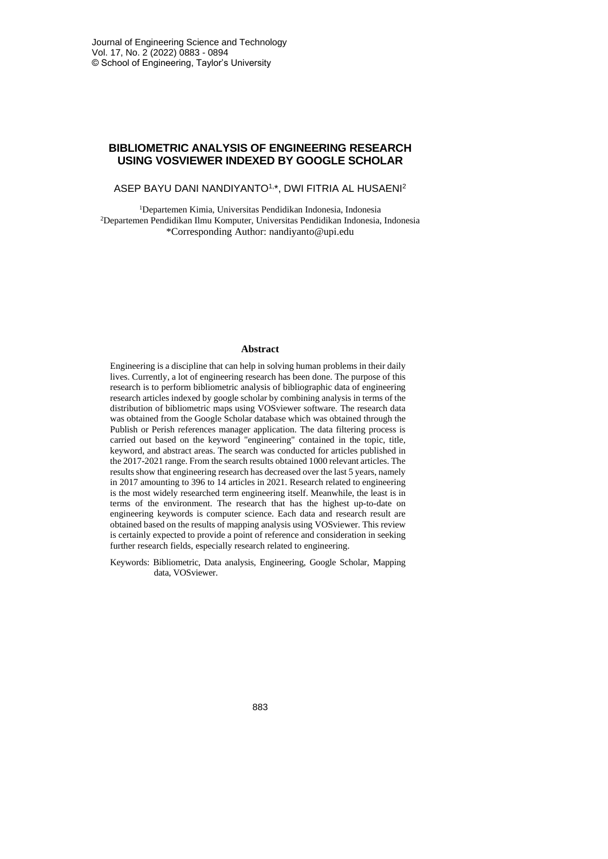# **BIBLIOMETRIC ANALYSIS OF ENGINEERING RESEARCH USING VOSVIEWER INDEXED BY GOOGLE SCHOLAR**

## ASEP BAYU DANI NANDIYANTO<sup>1,\*</sup>, DWI FITRIA AL HUSAENI<sup>2</sup>

<sup>1</sup>Departemen Kimia, Universitas Pendidikan Indonesia, Indonesia <sup>2</sup>Departemen Pendidikan Ilmu Komputer, Universitas Pendidikan Indonesia, Indonesia \*Corresponding Author: nandiyanto@upi.edu

#### **Abstract**

Engineering is a discipline that can help in solving human problems in their daily lives. Currently, a lot of engineering research has been done. The purpose of this research is to perform bibliometric analysis of bibliographic data of engineering research articles indexed by google scholar by combining analysis in terms of the distribution of bibliometric maps using VOSviewer software. The research data was obtained from the Google Scholar database which was obtained through the Publish or Perish references manager application. The data filtering process is carried out based on the keyword "engineering" contained in the topic, title, keyword, and abstract areas. The search was conducted for articles published in the 2017-2021 range. From the search results obtained 1000 relevant articles. The results show that engineering research has decreased over the last 5 years, namely in 2017 amounting to 396 to 14 articles in 2021. Research related to engineering is the most widely researched term engineering itself. Meanwhile, the least is in terms of the environment. The research that has the highest up-to-date on engineering keywords is computer science. Each data and research result are obtained based on the results of mapping analysis using VOSviewer. This review is certainly expected to provide a point of reference and consideration in seeking further research fields, especially research related to engineering.

Keywords: Bibliometric, Data analysis, Engineering, Google Scholar, Mapping data, VOSviewer.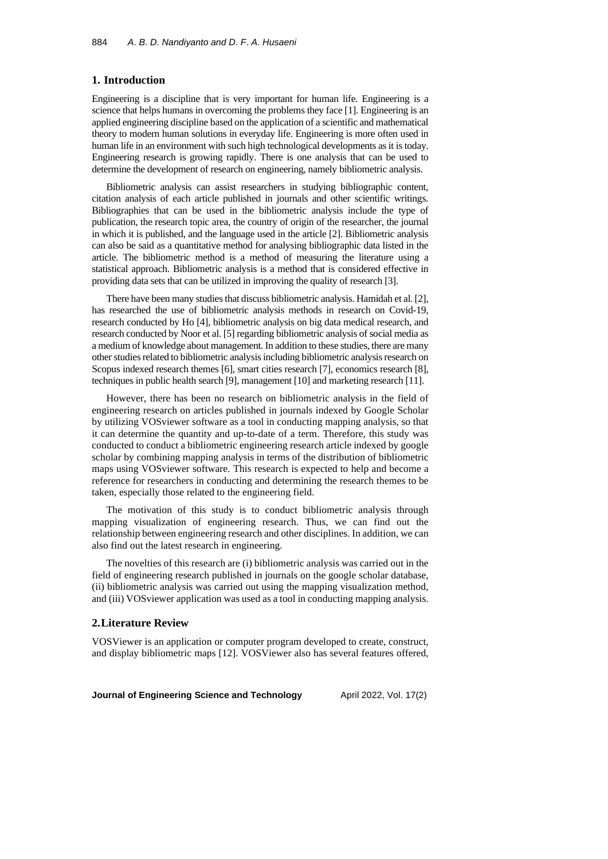#### **1. Introduction**

Engineering is a discipline that is very important for human life. Engineering is a science that helps humans in overcoming the problems they face [1]. Engineering is an applied engineering discipline based on the application of a scientific and mathematical theory to modern human solutions in everyday life. Engineering is more often used in human life in an environment with such high technological developments as it is today. Engineering research is growing rapidly. There is one analysis that can be used to determine the development of research on engineering, namely bibliometric analysis.

Bibliometric analysis can assist researchers in studying bibliographic content, citation analysis of each article published in journals and other scientific writings. Bibliographies that can be used in the bibliometric analysis include the type of publication, the research topic area, the country of origin of the researcher, the journal in which it is published, and the language used in the article [2]. Bibliometric analysis can also be said as a quantitative method for analysing bibliographic data listed in the article. The bibliometric method is a method of measuring the literature using a statistical approach. Bibliometric analysis is a method that is considered effective in providing data sets that can be utilized in improving the quality of research [3].

There have been many studies that discuss bibliometric analysis. Hamidah et al. [2], has researched the use of bibliometric analysis methods in research on Covid-19, research conducted by Ho [4], bibliometric analysis on big data medical research, and research conducted by Noor et al. [5] regarding bibliometric analysis of social media as a medium of knowledge about management. In addition to these studies, there are many other studies related to bibliometric analysis including bibliometric analysis research on Scopus indexed research themes [6], smart cities research [7], economics research [8], techniques in public health search [9], management [10] and marketing research [11].

However, there has been no research on bibliometric analysis in the field of engineering research on articles published in journals indexed by Google Scholar by utilizing VOSviewer software as a tool in conducting mapping analysis, so that it can determine the quantity and up-to-date of a term. Therefore, this study was conducted to conduct a bibliometric engineering research article indexed by google scholar by combining mapping analysis in terms of the distribution of bibliometric maps using VOSviewer software. This research is expected to help and become a reference for researchers in conducting and determining the research themes to be taken, especially those related to the engineering field.

The motivation of this study is to conduct bibliometric analysis through mapping visualization of engineering research. Thus, we can find out the relationship between engineering research and other disciplines. In addition, we can also find out the latest research in engineering.

The novelties of this research are (i) bibliometric analysis was carried out in the field of engineering research published in journals on the google scholar database, (ii) bibliometric analysis was carried out using the mapping visualization method, and (iii) VOSviewer application was used as a tool in conducting mapping analysis.

#### **2.Literature Review**

VOSViewer is an application or computer program developed to create, construct, and display bibliometric maps [12]. VOSViewer also has several features offered,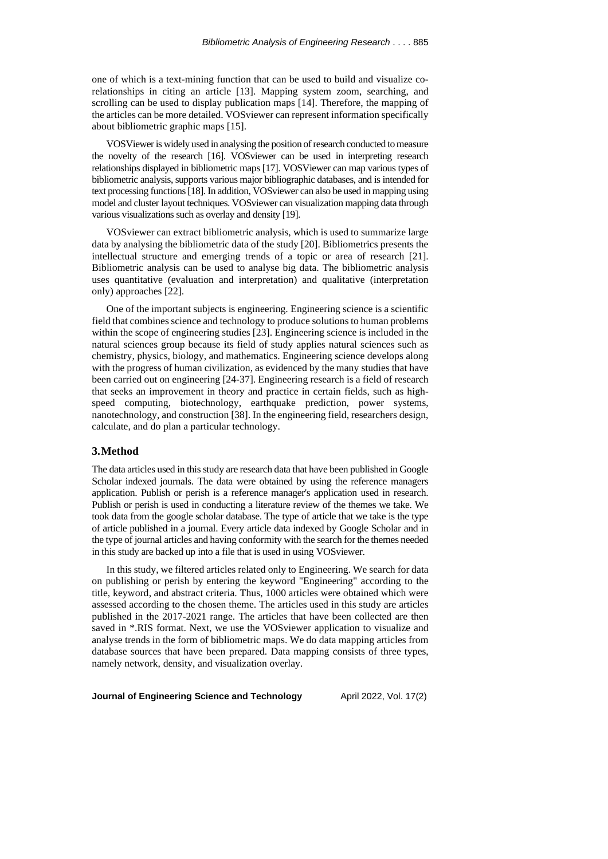one of which is a text-mining function that can be used to build and visualize corelationships in citing an article [13]. Mapping system zoom, searching, and scrolling can be used to display publication maps [14]. Therefore, the mapping of the articles can be more detailed. VOSviewer can represent information specifically about bibliometric graphic maps [15].

VOSVieweris widely used in analysing the position ofresearch conducted tomeasure the novelty of the research [16]. VOSviewer can be used in interpreting research relationships displayed in bibliometric maps [17]. VOSViewer can map various types of bibliometric analysis, supports various major bibliographic databases, and isintended for text processing functions[18]. In addition, VOSviewer can also be used in mapping using model and cluster layout techniques. VOSviewer can visualization mapping data through various visualizations such as overlay and density [19].

VOSviewer can extract bibliometric analysis, which is used to summarize large data by analysing the bibliometric data of the study [20]. Bibliometrics presents the intellectual structure and emerging trends of a topic or area of research [21]. Bibliometric analysis can be used to analyse big data. The bibliometric analysis uses quantitative (evaluation and interpretation) and qualitative (interpretation only) approaches [22].

One of the important subjects is engineering. Engineering science is a scientific field that combines science and technology to produce solutions to human problems within the scope of engineering studies [23]. Engineering science is included in the natural sciences group because its field of study applies natural sciences such as chemistry, physics, biology, and mathematics. Engineering science develops along with the progress of human civilization, as evidenced by the many studies that have been carried out on engineering [24-37]. Engineering research is a field of research that seeks an improvement in theory and practice in certain fields, such as highspeed computing, biotechnology, earthquake prediction, power systems, nanotechnology, and construction [38]. In the engineering field, researchers design, calculate, and do plan a particular technology.

#### **3.Method**

The data articles used in thisstudy are research data that have been published in Google Scholar indexed journals. The data were obtained by using the reference managers application. Publish or perish is a reference manager's application used in research. Publish or perish is used in conducting a literature review of the themes we take. We took data from the google scholar database. The type of article that we take is the type of article published in a journal. Every article data indexed by Google Scholar and in the type of journal articles and having conformity with the search for the themes needed in this study are backed up into a file that is used in using VOSviewer.

In this study, we filtered articles related only to Engineering. We search for data on publishing or perish by entering the keyword "Engineering" according to the title, keyword, and abstract criteria. Thus, 1000 articles were obtained which were assessed according to the chosen theme. The articles used in this study are articles published in the 2017-2021 range. The articles that have been collected are then saved in \*.RIS format. Next, we use the VOSviewer application to visualize and analyse trends in the form of bibliometric maps. We do data mapping articles from database sources that have been prepared. Data mapping consists of three types, namely network, density, and visualization overlay.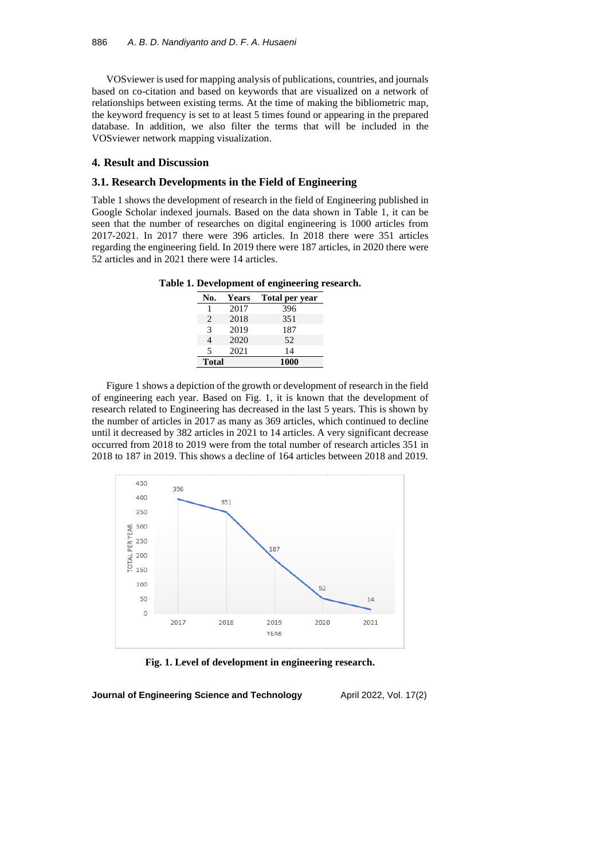VOSviewer is used for mapping analysis of publications, countries, and journals based on co-citation and based on keywords that are visualized on a network of relationships between existing terms. At the time of making the bibliometric map, the keyword frequency is set to at least 5 times found or appearing in the prepared database. In addition, we also filter the terms that will be included in the VOSviewer network mapping visualization.

### **4. Result and Discussion**

#### **3.1. Research Developments in the Field of Engineering**

Table 1 shows the development of research in the field of Engineering published in Google Scholar indexed journals. Based on the data shown in Table 1, it can be seen that the number of researches on digital engineering is 1000 articles from 2017-2021. In 2017 there were 396 articles. In 2018 there were 351 articles regarding the engineering field. In 2019 there were 187 articles, in 2020 there were 52 articles and in 2021 there were 14 articles.

**Table 1. Development of engineering research.**

|                |       | ີ              |  |
|----------------|-------|----------------|--|
| No.            | Years | Total per year |  |
|                | 2017  | 396            |  |
| 2              | 2018  | 351            |  |
| $\mathcal{R}$  | 2019  | 187            |  |
| $\overline{4}$ | 2020  | 52             |  |
| 5              | 2021  | 14             |  |
| <b>Total</b>   |       | 1000           |  |
|                |       |                |  |

Figure 1 shows a depiction of the growth or development of research in the field of engineering each year. Based on Fig. 1, it is known that the development of research related to Engineering has decreased in the last 5 years. This is shown by the number of articles in 2017 as many as 369 articles, which continued to decline until it decreased by 382 articles in 2021 to 14 articles. A very significant decrease occurred from 2018 to 2019 were from the total number of research articles 351 in 2018 to 187 in 2019. This shows a decline of 164 articles between 2018 and 2019.



**Fig. 1. Level of development in engineering research.**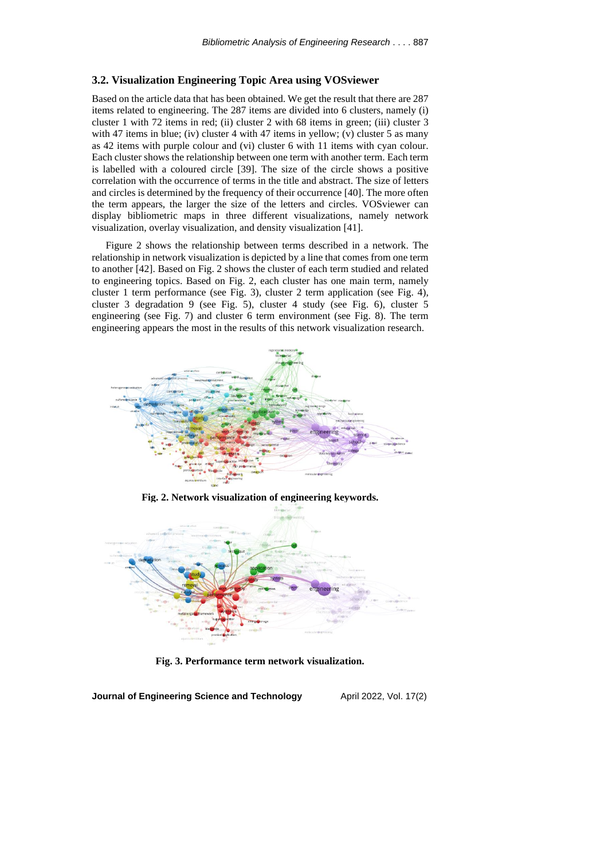### **3.2. Visualization Engineering Topic Area using VOSviewer**

Based on the article data that has been obtained. We get the result that there are 287 items related to engineering. The 287 items are divided into 6 clusters, namely (i) cluster 1 with 72 items in red; (ii) cluster 2 with 68 items in green; (iii) cluster 3 with 47 items in blue; (iv) cluster 4 with 47 items in yellow; (v) cluster 5 as many as 42 items with purple colour and (vi) cluster 6 with 11 items with cyan colour. Each cluster shows the relationship between one term with another term. Each term is labelled with a coloured circle [39]. The size of the circle shows a positive correlation with the occurrence of terms in the title and abstract. The size of letters and circles is determined by the frequency of their occurrence [40]. The more often the term appears, the larger the size of the letters and circles. VOSviewer can display bibliometric maps in three different visualizations, namely network visualization, overlay visualization, and density visualization [41].

Figure 2 shows the relationship between terms described in a network. The relationship in network visualization is depicted by a line that comes from one term to another [42]. Based on Fig. 2 shows the cluster of each term studied and related to engineering topics. Based on Fig. 2, each cluster has one main term, namely cluster 1 term performance (see Fig. 3), cluster 2 term application (see Fig. 4), cluster 3 degradation 9 (see Fig. 5), cluster 4 study (see Fig. 6), cluster 5 engineering (see Fig. 7) and cluster 6 term environment (see Fig. 8). The term engineering appears the most in the results of this network visualization research.



**Fig. 2. Network visualization of engineering keywords.**



**Fig. 3. Performance term network visualization.**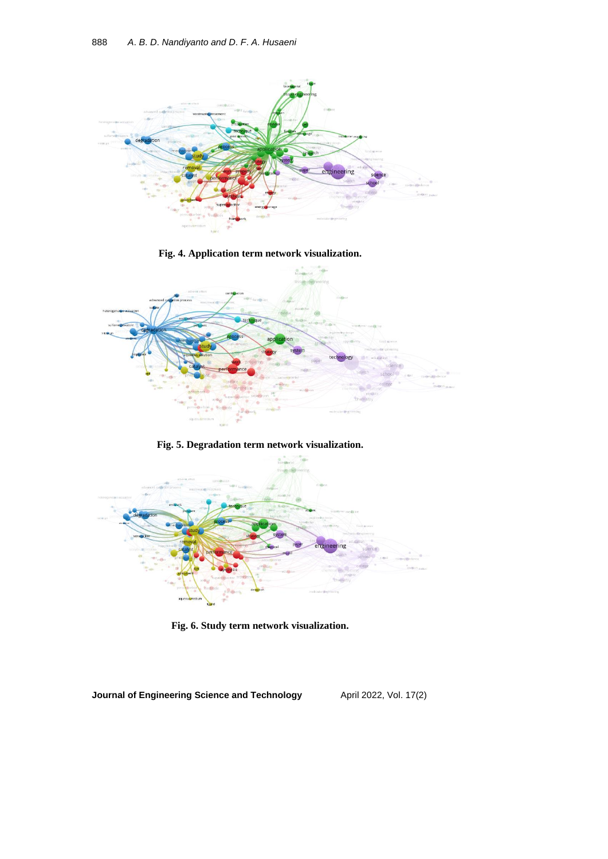



**Fig. 6. Study term network visualization.**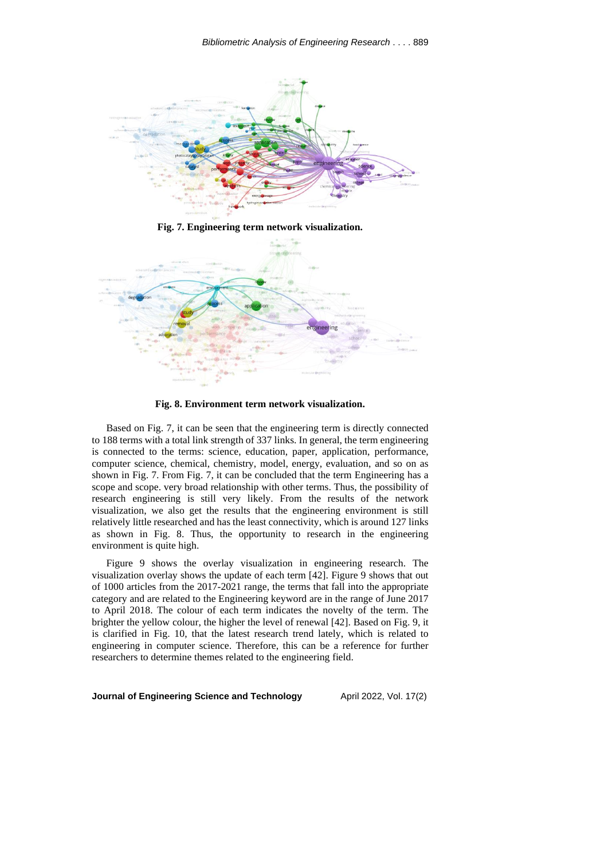



**Fig. 8. Environment term network visualization.**

Based on Fig. 7, it can be seen that the engineering term is directly connected to 188 terms with a total link strength of 337 links. In general, the term engineering is connected to the terms: science, education, paper, application, performance, computer science, chemical, chemistry, model, energy, evaluation, and so on as shown in Fig. 7. From Fig. 7, it can be concluded that the term Engineering has a scope and scope. very broad relationship with other terms. Thus, the possibility of research engineering is still very likely. From the results of the network visualization, we also get the results that the engineering environment is still relatively little researched and has the least connectivity, which is around 127 links as shown in Fig. 8. Thus, the opportunity to research in the engineering environment is quite high.

Figure 9 shows the overlay visualization in engineering research. The visualization overlay shows the update of each term [42]. Figure 9 shows that out of 1000 articles from the 2017-2021 range, the terms that fall into the appropriate category and are related to the Engineering keyword are in the range of June 2017 to April 2018. The colour of each term indicates the novelty of the term. The brighter the yellow colour, the higher the level of renewal [42]. Based on Fig. 9, it is clarified in Fig. 10, that the latest research trend lately, which is related to engineering in computer science. Therefore, this can be a reference for further researchers to determine themes related to the engineering field.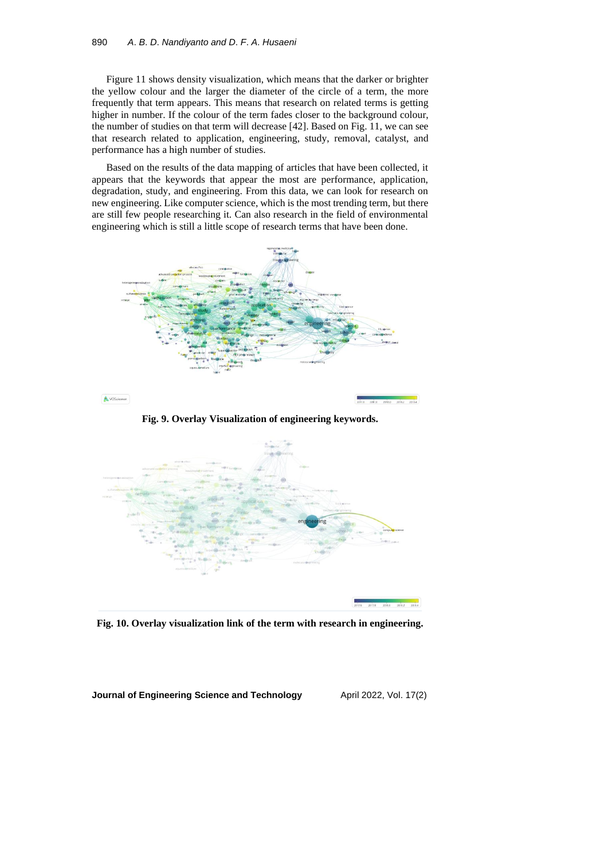Figure 11 shows density visualization, which means that the darker or brighter the yellow colour and the larger the diameter of the circle of a term, the more frequently that term appears. This means that research on related terms is getting higher in number. If the colour of the term fades closer to the background colour, the number of studies on that term will decrease [42]. Based on Fig. 11, we can see that research related to application, engineering, study, removal, catalyst, and performance has a high number of studies.

Based on the results of the data mapping of articles that have been collected, it appears that the keywords that appear the most are performance, application, degradation, study, and engineering. From this data, we can look for research on new engineering. Like computer science, which is the most trending term, but there are still few people researching it. Can also research in the field of environmental engineering which is still a little scope of research terms that have been done.



**Fig. 10. Overlay visualization link of the term with research in engineering.**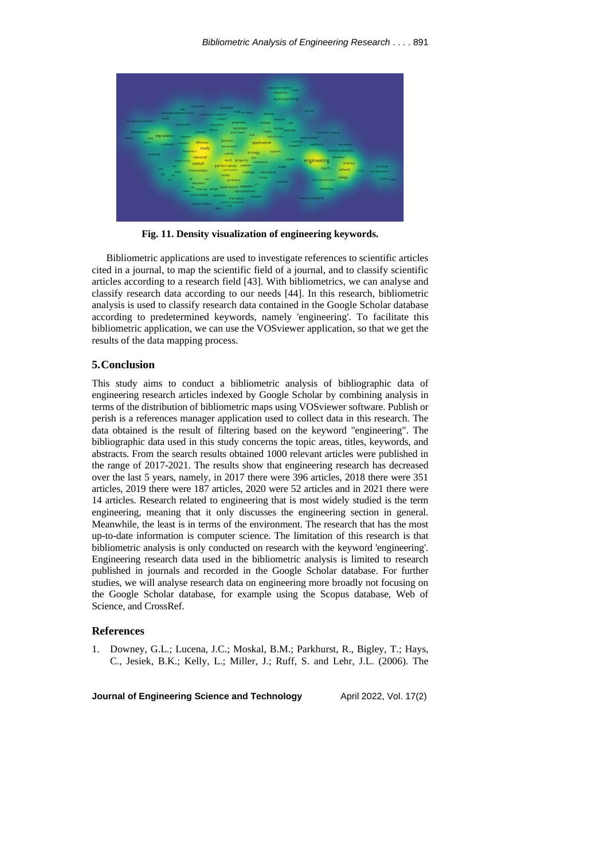

**Fig. 11. Density visualization of engineering keywords.**

Bibliometric applications are used to investigate references to scientific articles cited in a journal, to map the scientific field of a journal, and to classify scientific articles according to a research field [43]. With bibliometrics, we can analyse and classify research data according to our needs [44]. In this research, bibliometric analysis is used to classify research data contained in the Google Scholar database according to predetermined keywords, namely 'engineering'. To facilitate this bibliometric application, we can use the VOSviewer application, so that we get the results of the data mapping process.

### **5.Conclusion**

This study aims to conduct a bibliometric analysis of bibliographic data of engineering research articles indexed by Google Scholar by combining analysis in terms of the distribution of bibliometric maps using VOSviewer software. Publish or perish is a references manager application used to collect data in this research. The data obtained is the result of filtering based on the keyword "engineering". The bibliographic data used in this study concerns the topic areas, titles, keywords, and abstracts. From the search results obtained 1000 relevant articles were published in the range of 2017-2021. The results show that engineering research has decreased over the last 5 years, namely, in 2017 there were 396 articles, 2018 there were 351 articles, 2019 there were 187 articles, 2020 were 52 articles and in 2021 there were 14 articles. Research related to engineering that is most widely studied is the term engineering, meaning that it only discusses the engineering section in general. Meanwhile, the least is in terms of the environment. The research that has the most up-to-date information is computer science. The limitation of this research is that bibliometric analysis is only conducted on research with the keyword 'engineering'. Engineering research data used in the bibliometric analysis is limited to research published in journals and recorded in the Google Scholar database. For further studies, we will analyse research data on engineering more broadly not focusing on the Google Scholar database, for example using the Scopus database, Web of Science, and CrossRef.

### **References**

1. Downey, G.L.; Lucena, J.C.; Moskal, B.M.; Parkhurst, R., Bigley, T.; Hays, C., Jesiek, B.K.; Kelly, L.; Miller, J.; Ruff, S. and Lehr, J.L. (2006). The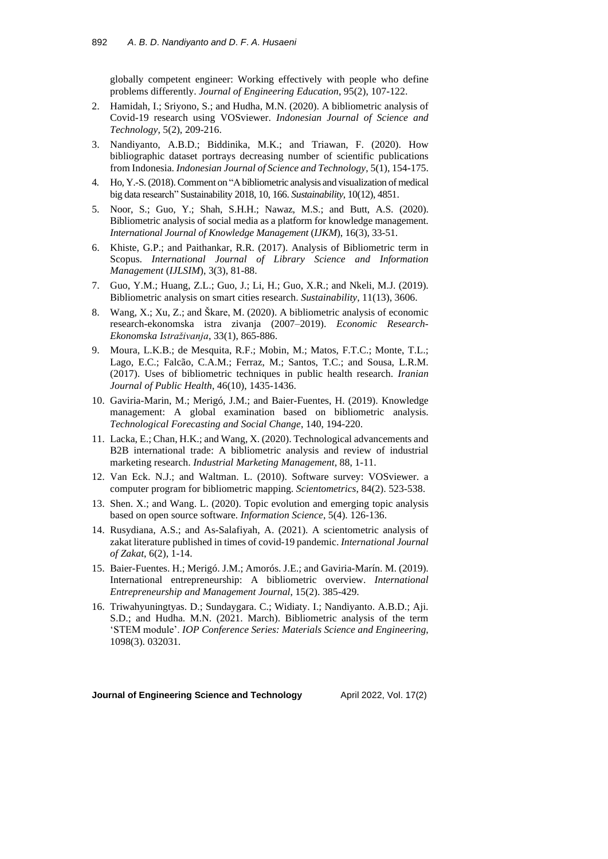globally competent engineer: Working effectively with people who define problems differently. *Journal of Engineering Education*, 95(2), 107-122.

- 2. Hamidah, I.; Sriyono, S.; and Hudha, M.N. (2020). A bibliometric analysis of Covid-19 research using VOSviewer. *Indonesian Journal of Science and Technology*, 5(2), 209-216.
- 3. Nandiyanto, A.B.D.; Biddinika, M.K.; and Triawan, F. (2020). How bibliographic dataset portrays decreasing number of scientific publications from Indonesia. *Indonesian Journal of Science and Technology*, 5(1), 154-175.
- 4. Ho, Y.-S.(2018). Comment on "A bibliometric analysis and visualization of medical big data research" Sustainability 2018, 10, 166. *Sustainability*, 10(12), 4851.
- 5. Noor, S.; Guo, Y.; Shah, S.H.H.; Nawaz, M.S.; and Butt, A.S. (2020). Bibliometric analysis of social media as a platform for knowledge management. *International Journal of Knowledge Management* (*IJKM*), 16(3), 33-51.
- 6. Khiste, G.P.; and Paithankar, R.R. (2017). Analysis of Bibliometric term in Scopus. *International Journal of Library Science and Information Management* (*IJLSIM*), 3(3), 81-88.
- 7. Guo, Y.M.; Huang, Z.L.; Guo, J.; Li, H.; Guo, X.R.; and Nkeli, M.J. (2019). Bibliometric analysis on smart cities research. *Sustainability*, 11(13), 3606.
- 8. Wang, X.; Xu, Z.; and Škare, M. (2020). A bibliometric analysis of economic research-ekonomska istra zivanja (2007–2019). *Economic Research-Ekonomska Istraživanja*, 33(1), 865-886.
- 9. Moura, L.K.B.; de Mesquita, R.F.; Mobin, M.; Matos, F.T.C.; Monte, T.L.; Lago, E.C.; Falcão, C.A.M.; Ferraz, M.; Santos, T.C.; and Sousa, L.R.M. (2017). Uses of bibliometric techniques in public health research. *Iranian Journal of Public Health*, 46(10), 1435-1436.
- 10. Gaviria-Marin, M.; Merigó, J.M.; and Baier-Fuentes, H. (2019). Knowledge management: A global examination based on bibliometric analysis. *Technological Forecasting and Social Change*, 140, 194-220.
- 11. Lacka, E.; Chan, H.K.; and Wang, X. (2020). Technological advancements and B2B international trade: A bibliometric analysis and review of industrial marketing research. *Industrial Marketing Management*, 88, 1-11.
- 12. Van Eck. N.J.; and Waltman. L. (2010). Software survey: VOSviewer. a computer program for bibliometric mapping. *Scientometrics*, 84(2). 523-538.
- 13. Shen. X.; and Wang. L. (2020). Topic evolution and emerging topic analysis based on open source software. *Information Science*, 5(4). 126-136.
- 14. Rusydiana, A.S.; and As-Salafiyah, A. (2021). A scientometric analysis of zakat literature published in times of covid-19 pandemic. *International Journal of Zakat*, 6(2), 1-14.
- 15. Baier-Fuentes. H.; Merigó. J.M.; Amorós. J.E.; and Gaviria-Marín. M. (2019). International entrepreneurship: A bibliometric overview. *International Entrepreneurship and Management Journal*, 15(2). 385-429.
- 16. Triwahyuningtyas. D.; Sundaygara. C.; Widiaty. I.; Nandiyanto. A.B.D.; Aji. S.D.; and Hudha. M.N. (2021. March). Bibliometric analysis of the term 'STEM module'. *IOP Conference Series: Materials Science and Engineering*, 1098(3). 032031.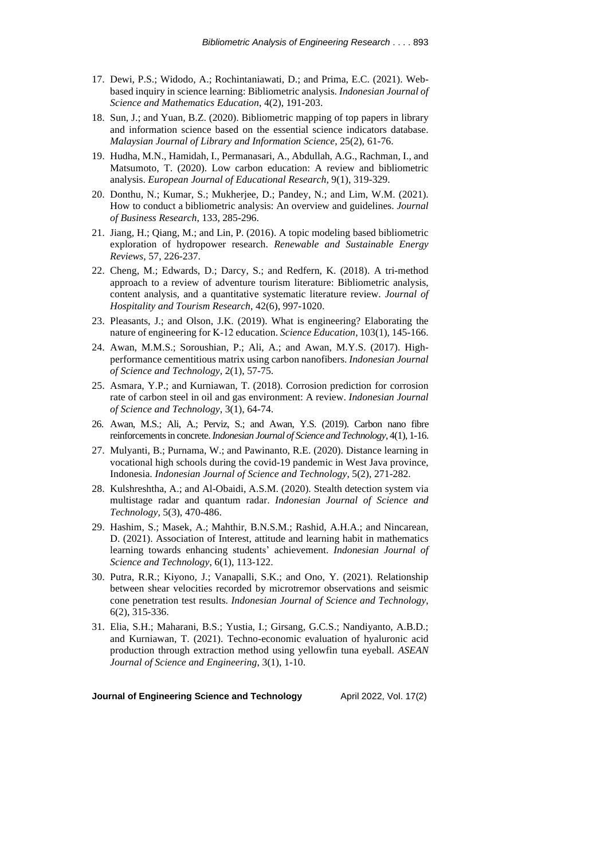- 17. Dewi, P.S.; Widodo, A.; Rochintaniawati, D.; and Prima, E.C. (2021). Webbased inquiry in science learning: Bibliometric analysis. *Indonesian Journal of Science and Mathematics Education*, 4(2), 191-203.
- 18. Sun, J.; and Yuan, B.Z. (2020). Bibliometric mapping of top papers in library and information science based on the essential science indicators database. *Malaysian Journal of Library and Information Science*, 25(2), 61-76.
- 19. Hudha, M.N., Hamidah, I., Permanasari, A., Abdullah, A.G., Rachman, I., and Matsumoto, T. (2020). Low carbon education: A review and bibliometric analysis. *European Journal of Educational Research*, 9(1), 319-329.
- 20. Donthu, N.; Kumar, S.; Mukherjee, D.; Pandey, N.; and Lim, W.M. (2021). How to conduct a bibliometric analysis: An overview and guidelines. *Journal of Business Research*, 133, 285-296.
- 21. Jiang, H.; Qiang, M.; and Lin, P. (2016). A topic modeling based bibliometric exploration of hydropower research. *Renewable and Sustainable Energy Reviews*, 57, 226-237.
- 22. Cheng, M.; Edwards, D.; Darcy, S.; and Redfern, K. (2018). A tri-method approach to a review of adventure tourism literature: Bibliometric analysis, content analysis, and a quantitative systematic literature review. *Journal of Hospitality and Tourism Research*, 42(6), 997-1020.
- 23. Pleasants, J.; and Olson, J.K. (2019). What is engineering? Elaborating the nature of engineering for K‐12 education. *Science Education*, 103(1), 145-166.
- 24. Awan, M.M.S.; Soroushian, P.; Ali, A.; and Awan, M.Y.S. (2017). Highperformance cementitious matrix using carbon nanofibers. *Indonesian Journal of Science and Technology*, 2(1), 57-75.
- 25. Asmara, Y.P.; and Kurniawan, T. (2018). Corrosion prediction for corrosion rate of carbon steel in oil and gas environment: A review. *Indonesian Journal of Science and Technology*, 3(1), 64-74.
- 26. Awan, M.S.; Ali, A.; Perviz, S.; and Awan, Y.S. (2019). Carbon nano fibre reinforcementsin concrete.*Indonesian Journal of Science and Technology*, 4(1), 1-16.
- 27. Mulyanti, B.; Purnama, W.; and Pawinanto, R.E. (2020). Distance learning in vocational high schools during the covid-19 pandemic in West Java province, Indonesia. *Indonesian Journal of Science and Technology*, 5(2), 271-282.
- 28. Kulshreshtha, A.; and Al-Obaidi, A.S.M. (2020). Stealth detection system via multistage radar and quantum radar. *Indonesian Journal of Science and Technology*, 5(3), 470-486.
- 29. Hashim, S.; Masek, A.; Mahthir, B.N.S.M.; Rashid, A.H.A.; and Nincarean, D. (2021). Association of Interest, attitude and learning habit in mathematics learning towards enhancing students' achievement. *Indonesian Journal of Science and Technology*, 6(1), 113-122.
- 30. Putra, R.R.; Kiyono, J.; Vanapalli, S.K.; and Ono, Y. (2021). Relationship between shear velocities recorded by microtremor observations and seismic cone penetration test results. *Indonesian Journal of Science and Technology*, 6(2), 315-336.
- 31. Elia, S.H.; Maharani, B.S.; Yustia, I.; Girsang, G.C.S.; Nandiyanto, A.B.D.; and Kurniawan, T. (2021). Techno-economic evaluation of hyaluronic acid production through extraction method using yellowfin tuna eyeball. *ASEAN Journal of Science and Engineering*, 3(1), 1-10.